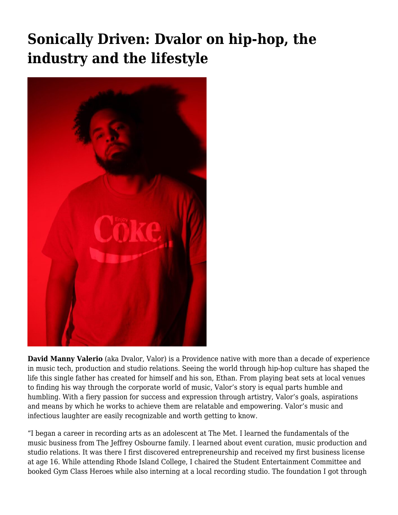## **[Sonically Driven: Dvalor on hip-hop, the](https://motifri.com/dvalor/) [industry and the lifestyle](https://motifri.com/dvalor/)**



**David Manny Valerio** (aka Dvalor, Valor) is a Providence native with more than a decade of experience in music tech, production and studio relations. Seeing the world through hip-hop culture has shaped the life this single father has created for himself and his son, Ethan. From playing beat sets at local venues to finding his way through the corporate world of music, Valor's story is equal parts humble and humbling. With a fiery passion for success and expression through artistry, Valor's goals, aspirations and means by which he works to achieve them are relatable and empowering. Valor's music and infectious laughter are easily recognizable and worth getting to know.

"I began a career in recording arts as an adolescent at The Met. I learned the fundamentals of the music business from The Jeffrey Osbourne family. I learned about event curation, music production and studio relations. It was there I first discovered entrepreneurship and received my first business license at age 16. While attending Rhode Island College, I chaired the Student Entertainment Committee and booked Gym Class Heroes while also interning at a local recording studio. The foundation I got through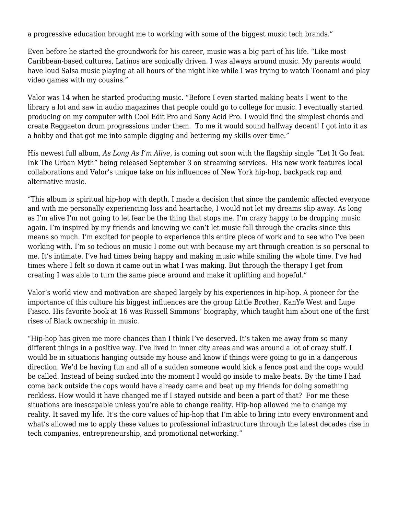a progressive education brought me to working with some of the biggest music tech brands."

Even before he started the groundwork for his career, music was a big part of his life. "Like most Caribbean-based cultures, Latinos are sonically driven. I was always around music. My parents would have loud Salsa music playing at all hours of the night like while I was trying to watch Toonami and play video games with my cousins."

Valor was 14 when he started producing music. "Before I even started making beats I went to the library a lot and saw in audio magazines that people could go to college for music. I eventually started producing on my computer with Cool Edit Pro and Sony Acid Pro. I would find the simplest chords and create Reggaeton drum progressions under them. To me it would sound halfway decent! I got into it as a hobby and that got me into sample digging and bettering my skills over time."

His newest full album, *As Long As I'm Alive*, is coming out soon with the flagship single "Let It Go feat. Ink The Urban Myth" being released September 3 on streaming services. His new work features local collaborations and Valor's unique take on his influences of New York hip-hop, backpack rap and alternative music.

"This album is spiritual hip-hop with depth. I made a decision that since the pandemic affected everyone and with me personally experiencing loss and heartache, I would not let my dreams slip away. As long as I'm alive I'm not going to let fear be the thing that stops me. I'm crazy happy to be dropping music again. I'm inspired by my friends and knowing we can't let music fall through the cracks since this means so much. I'm excited for people to experience this entire piece of work and to see who I've been working with. I'm so tedious on music I come out with because my art through creation is so personal to me. It's intimate. I've had times being happy and making music while smiling the whole time. I've had times where I felt so down it came out in what I was making. But through the therapy I get from creating I was able to turn the same piece around and make it uplifting and hopeful."

Valor's world view and motivation are shaped largely by his experiences in hip-hop. A pioneer for the importance of this culture his biggest influences are the group Little Brother, KanYe West and Lupe Fiasco. His favorite book at 16 was Russell Simmons' biography, which taught him about one of the first rises of Black ownership in music.

"Hip-hop has given me more chances than I think I've deserved. It's taken me away from so many different things in a positive way. I've lived in inner city areas and was around a lot of crazy stuff. I would be in situations hanging outside my house and know if things were going to go in a dangerous direction. We'd be having fun and all of a sudden someone would kick a fence post and the cops would be called. Instead of being sucked into the moment I would go inside to make beats. By the time I had come back outside the cops would have already came and beat up my friends for doing something reckless. How would it have changed me if I stayed outside and been a part of that? For me these situations are inescapable unless you're able to change reality. Hip-hop allowed me to change my reality. It saved my life. It's the core values of hip-hop that I'm able to bring into every environment and what's allowed me to apply these values to professional infrastructure through the latest decades rise in tech companies, entrepreneurship, and promotional networking."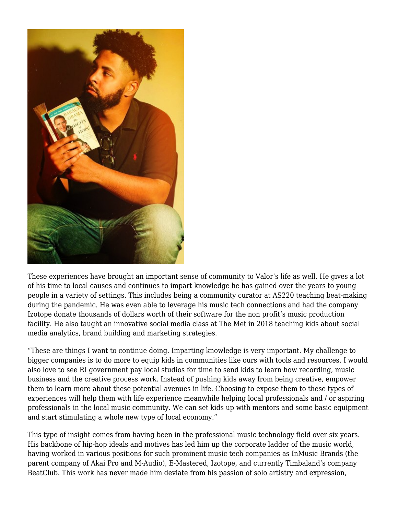

These experiences have brought an important sense of community to Valor's life as well. He gives a lot of his time to local causes and continues to impart knowledge he has gained over the years to young people in a variety of settings. This includes being a community curator at AS220 teaching beat-making during the pandemic. He was even able to leverage his music tech connections and had the company Izotope donate thousands of dollars worth of their software for the non profit's music production facility. He also taught an innovative social media class at The Met in 2018 teaching kids about social media analytics, brand building and marketing strategies.

"These are things I want to continue doing. Imparting knowledge is very important. My challenge to bigger companies is to do more to equip kids in communities like ours with tools and resources. I would also love to see RI government pay local studios for time to send kids to learn how recording, music business and the creative process work. Instead of pushing kids away from being creative, empower them to learn more about these potential avenues in life. Choosing to expose them to these types of experiences will help them with life experience meanwhile helping local professionals and / or aspiring professionals in the local music community. We can set kids up with mentors and some basic equipment and start stimulating a whole new type of local economy."

This type of insight comes from having been in the professional music technology field over six years. His backbone of hip-hop ideals and motives has led him up the corporate ladder of the music world, having worked in various positions for such prominent music tech companies as InMusic Brands (the parent company of Akai Pro and M-Audio), E-Mastered, Izotope, and currently Timbaland's company BeatClub. This work has never made him deviate from his passion of solo artistry and expression,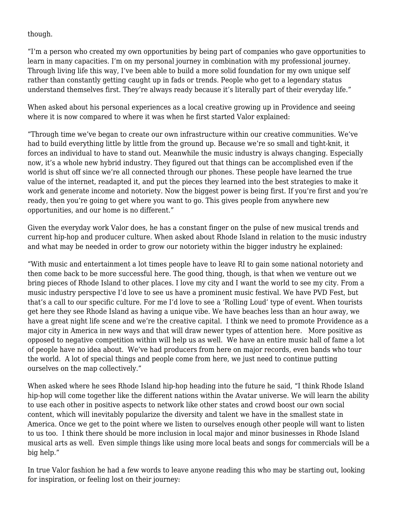though.

"I'm a person who created my own opportunities by being part of companies who gave opportunities to learn in many capacities. I'm on my personal journey in combination with my professional journey. Through living life this way, I've been able to build a more solid foundation for my own unique self rather than constantly getting caught up in fads or trends. People who get to a legendary status understand themselves first. They're always ready because it's literally part of their everyday life."

When asked about his personal experiences as a local creative growing up in Providence and seeing where it is now compared to where it was when he first started Valor explained:

"Through time we've began to create our own infrastructure within our creative communities. We've had to build everything little by little from the ground up. Because we're so small and tight-knit, it forces an individual to have to stand out. Meanwhile the music industry is always changing. Especially now, it's a whole new hybrid industry. They figured out that things can be accomplished even if the world is shut off since we're all connected through our phones. These people have learned the true value of the internet, readapted it, and put the pieces they learned into the best strategies to make it work and generate income and notoriety. Now the biggest power is being first. If you're first and you're ready, then you're going to get where you want to go. This gives people from anywhere new opportunities, and our home is no different."

Given the everyday work Valor does, he has a constant finger on the pulse of new musical trends and current hip-hop and producer culture. When asked about Rhode Island in relation to the music industry and what may be needed in order to grow our notoriety within the bigger industry he explained:

"With music and entertainment a lot times people have to leave RI to gain some national notoriety and then come back to be more successful here. The good thing, though, is that when we venture out we bring pieces of Rhode Island to other places. I love my city and I want the world to see my city. From a music industry perspective I'd love to see us have a prominent music festival. We have PVD Fest, but that's a call to our specific culture. For me I'd love to see a 'Rolling Loud' type of event. When tourists get here they see Rhode Island as having a unique vibe. We have beaches less than an hour away, we have a great night life scene and we're the creative capital. I think we need to promote Providence as a major city in America in new ways and that will draw newer types of attention here. More positive as opposed to negative competition within will help us as well. We have an entire music hall of fame a lot of people have no idea about. We've had producers from here on major records, even bands who tour the world. A lot of special things and people come from here, we just need to continue putting ourselves on the map collectively."

When asked where he sees Rhode Island hip-hop heading into the future he said, "I think Rhode Island hip-hop will come together like the different nations within the Avatar universe. We will learn the ability to use each other in positive aspects to network like other states and crowd boost our own social content, which will inevitably popularize the diversity and talent we have in the smallest state in America. Once we get to the point where we listen to ourselves enough other people will want to listen to us too. I think there should be more inclusion in local major and minor businesses in Rhode Island musical arts as well. Even simple things like using more local beats and songs for commercials will be a big help."

In true Valor fashion he had a few words to leave anyone reading this who may be starting out, looking for inspiration, or feeling lost on their journey: